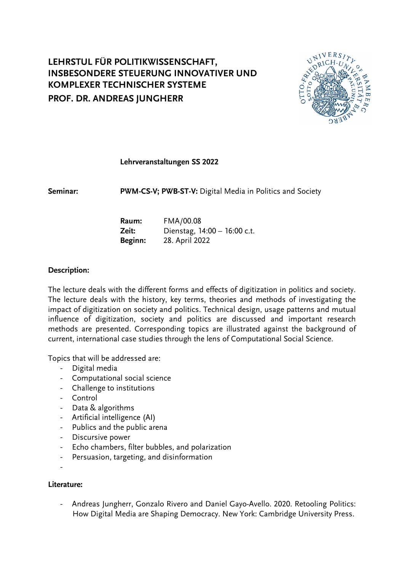# **LEHRSTUL FÜR POLITIKWISSENSCHAFT, INSBESONDERE STEUERUNG INNOVATIVER UND KOMPLEXER TECHNISCHER SYSTEME PROF. DR. ANDREAS JUNGHERR**



#### **Lehrveranstaltungen SS 2022**

**Seminar: PWM-CS-V; PWB-ST-V:** Digital Media in Politics and Society

| Raum:   | FMA/00.08                    |
|---------|------------------------------|
| Zeit:   | Dienstag, 14:00 - 16:00 c.t. |
| Beginn: | 28. April 2022               |

#### **Description:**

The lecture deals with the different forms and effects of digitization in politics and society. The lecture deals with the history, key terms, theories and methods of investigating the impact of digitization on society and politics. Technical design, usage patterns and mutual influence of digitization, society and politics are discussed and important research methods are presented. Corresponding topics are illustrated against the background of current, international case studies through the lens of Computational Social Science.

Topics that will be addressed are:

- Digital media
- Computational social science
- Challenge to institutions
- Control
- Data & algorithms
- Artificial intelligence (AI)
- Publics and the public arena
- Discursive power
- Echo chambers, filter bubbles, and polarization
- Persuasion, targeting, and disinformation
- -

#### **Literature:**

- Andreas Jungherr, Gonzalo Rivero and Daniel Gayo-Avello. 2020. Retooling Politics: How Digital Media are Shaping Democracy. New York: Cambridge University Press.